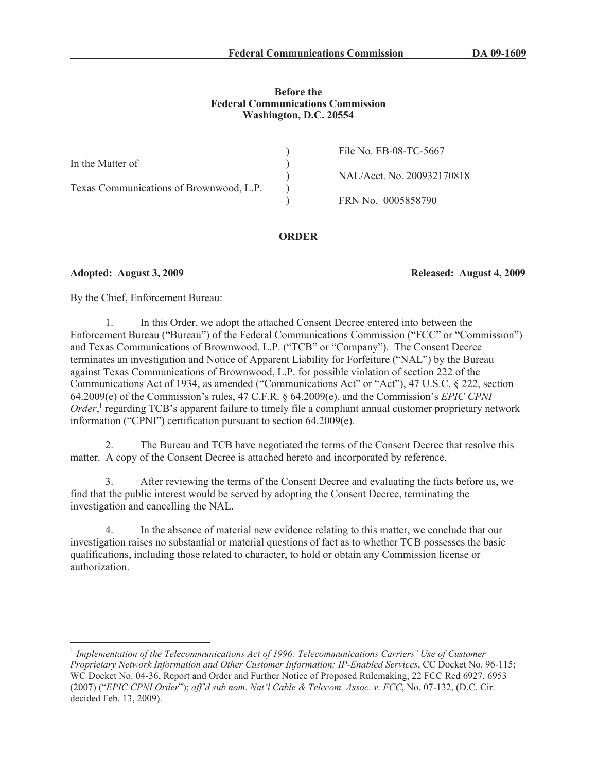## **Before the Federal Communications Commission Washington, D.C. 20554**

|                                         | File No. EB-08-TC-5667     |
|-----------------------------------------|----------------------------|
| In the Matter of                        |                            |
|                                         | NAL/Acct. No. 200932170818 |
| Texas Communications of Brownwood, L.P. |                            |
|                                         | FRN No. 0005858790         |

# **ORDER**

**Adopted: August 3, 2009 Released: August 4, 2009**

By the Chief, Enforcement Bureau:

1. In this Order, we adopt the attached Consent Decree entered into between the Enforcement Bureau ("Bureau") of the Federal Communications Commission ("FCC" or "Commission") and Texas Communications of Brownwood, L.P. ("TCB" or "Company"). The Consent Decree terminates an investigation and Notice of Apparent Liability for Forfeiture ("NAL") by the Bureau against Texas Communications of Brownwood, L.P. for possible violation of section 222 of the Communications Act of 1934, as amended ("Communications Act" or "Act"), 47 U.S.C. § 222, section 64.2009(e) of the Commission's rules, 47 C.F.R. § 64.2009(e), and the Commission's *EPIC CPNI*  Order,<sup>1</sup> regarding TCB's apparent failure to timely file a compliant annual customer proprietary network information ("CPNI") certification pursuant to section 64.2009(e).

2. The Bureau and TCB have negotiated the terms of the Consent Decree that resolve this matter. A copy of the Consent Decree is attached hereto and incorporated by reference.

3. After reviewing the terms of the Consent Decree and evaluating the facts before us, we find that the public interest would be served by adopting the Consent Decree, terminating the investigation and cancelling the NAL.

In the absence of material new evidence relating to this matter, we conclude that our investigation raises no substantial or material questions of fact as to whether TCB possesses the basic qualifications, including those related to character, to hold or obtain any Commission license or authorization.

<sup>&</sup>lt;sup>1</sup> Implementation of the Telecommunications Act of 1996: Telecommunications Carriers' Use of Customer *Proprietary Network Information and Other Customer Information; IP-Enabled Services*, CC Docket No. 96-115; WC Docket No. 04-36, Report and Order and Further Notice of Proposed Rulemaking, 22 FCC Rcd 6927, 6953 (2007) ("*EPIC CPNI Order*"); *aff'd sub nom*. *Nat'l Cable & Telecom. Assoc. v. FCC*, No. 07-132, (D.C. Cir. decided Feb. 13, 2009).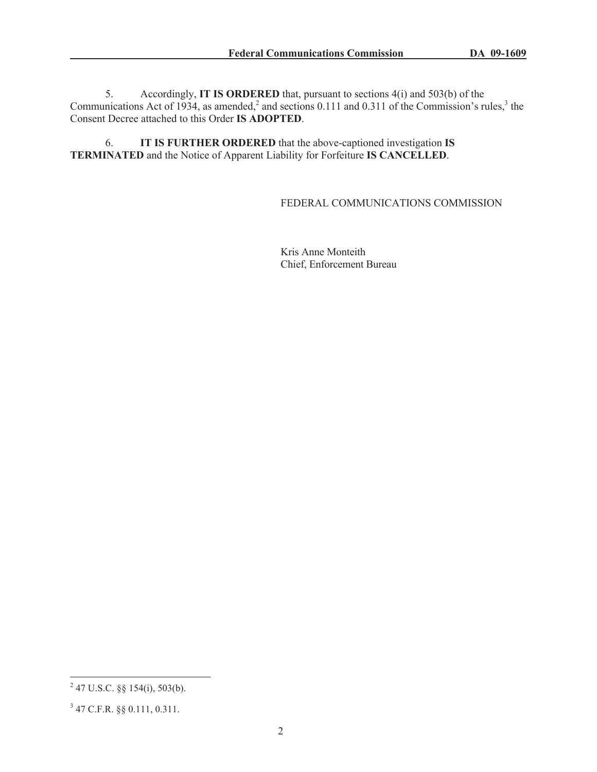5. Accordingly, **IT IS ORDERED** that, pursuant to sections 4(i) and 503(b) of the Communications Act of 1934, as amended,<sup>2</sup> and sections 0.111 and 0.311 of the Commission's rules,<sup>3</sup> the Consent Decree attached to this Order **IS ADOPTED**.

6. **IT IS FURTHER ORDERED** that the above-captioned investigation **IS TERMINATED** and the Notice of Apparent Liability for Forfeiture **IS CANCELLED**.

## FEDERAL COMMUNICATIONS COMMISSION

Kris Anne Monteith Chief, Enforcement Bureau

 $^{2}$  47 U.S.C. §§ 154(i), 503(b).

<sup>3</sup> 47 C.F.R. §§ 0.111, 0.311.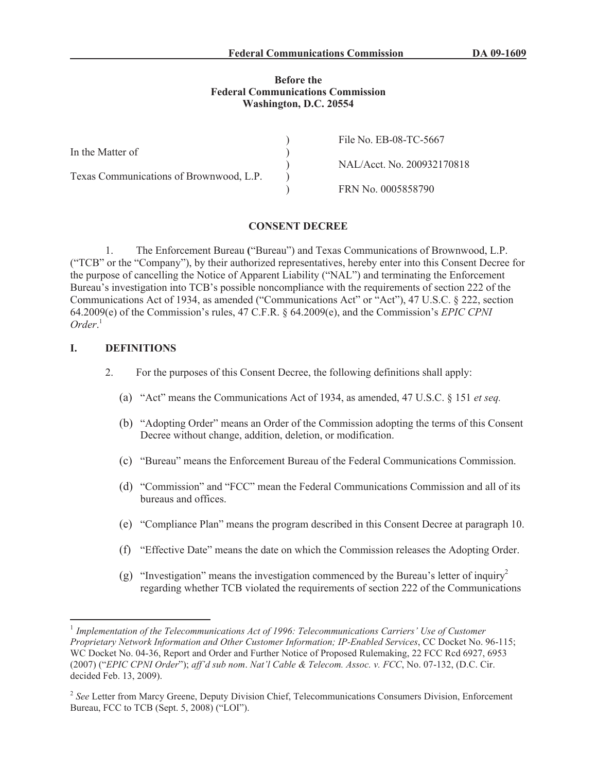### **Before the Federal Communications Commission Washington, D.C. 20554**

|                                         | File No. EB-08-TC-5667     |
|-----------------------------------------|----------------------------|
| In the Matter of                        |                            |
|                                         | NAL/Acct. No. 200932170818 |
| Texas Communications of Brownwood, L.P. |                            |
|                                         | FRN No. 0005858790         |

### **CONSENT DECREE**

1. The Enforcement Bureau **(**"Bureau") and Texas Communications of Brownwood, L.P. ("TCB" or the "Company"), by their authorized representatives, hereby enter into this Consent Decree for the purpose of cancelling the Notice of Apparent Liability ("NAL") and terminating the Enforcement Bureau's investigation into TCB's possible noncompliance with the requirements of section 222 of the Communications Act of 1934, as amended ("Communications Act" or "Act"), 47 U.S.C. § 222, section 64.2009(e) of the Commission's rules, 47 C.F.R. § 64.2009(e), and the Commission's *EPIC CPNI Order*. 1

### **I. DEFINITIONS**

- 2. For the purposes of this Consent Decree, the following definitions shall apply:
	- (a) "Act" means the Communications Act of 1934, as amended, 47 U.S.C. § 151 *et seq.*
	- (b) "Adopting Order" means an Order of the Commission adopting the terms of this Consent Decree without change, addition, deletion, or modification.
	- (c) "Bureau" means the Enforcement Bureau of the Federal Communications Commission.
	- (d) "Commission" and "FCC" mean the Federal Communications Commission and all of its bureaus and offices.
	- (e) "Compliance Plan" means the program described in this Consent Decree at paragraph 10.
	- (f) "Effective Date" means the date on which the Commission releases the Adopting Order.
	- (g) "Investigation" means the investigation commenced by the Bureau's letter of inquiry<sup>2</sup> regarding whether TCB violated the requirements of section 222 of the Communications

<sup>&</sup>lt;sup>1</sup> Implementation of the Telecommunications Act of 1996: Telecommunications Carriers' Use of Customer *Proprietary Network Information and Other Customer Information; IP-Enabled Services*, CC Docket No. 96-115; WC Docket No. 04-36, Report and Order and Further Notice of Proposed Rulemaking, 22 FCC Rcd 6927, 6953 (2007) ("*EPIC CPNI Order*"); *aff'd sub nom*. *Nat'l Cable & Telecom. Assoc. v. FCC*, No. 07-132, (D.C. Cir. decided Feb. 13, 2009).

<sup>&</sup>lt;sup>2</sup> See Letter from Marcy Greene, Deputy Division Chief, Telecommunications Consumers Division, Enforcement Bureau, FCC to TCB (Sept. 5, 2008) ("LOI").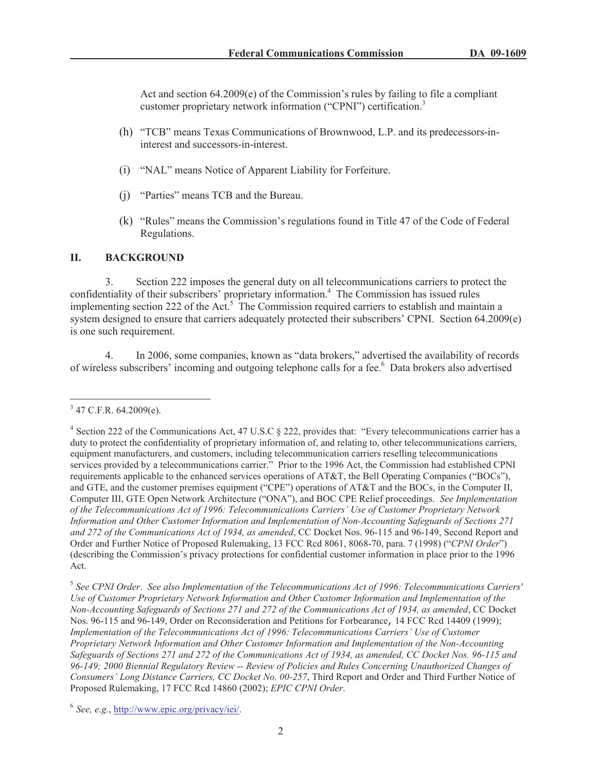Act and section 64.2009(e) of the Commission's rules by failing to file a compliant customer proprietary network information ("CPNI") certification.<sup>3</sup>

- (h) "TCB" means Texas Communications of Brownwood, L.P. and its predecessors-ininterest and successors-in-interest.
- (i) "NAL" means Notice of Apparent Liability for Forfeiture.
- (j) "Parties" means TCB and the Bureau.
- (k) "Rules" means the Commission's regulations found in Title 47 of the Code of Federal Regulations.

## **II. BACKGROUND**

3. Section 222 imposes the general duty on all telecommunications carriers to protect the confidentiality of their subscribers' proprietary information.<sup>4</sup> The Commission has issued rules implementing section 222 of the Act.<sup>5</sup> The Commission required carriers to establish and maintain a system designed to ensure that carriers adequately protected their subscribers' CPNI. Section 64.2009(e) is one such requirement.

4. In 2006, some companies, known as "data brokers," advertised the availability of records of wireless subscribers' incoming and outgoing telephone calls for a fee.<sup>6</sup> Data brokers also advertised

 $3$  47 C.F.R. 64.2009(e).

<sup>&</sup>lt;sup>4</sup> Section 222 of the Communications Act, 47 U.S.C § 222, provides that: "Every telecommunications carrier has a duty to protect the confidentiality of proprietary information of, and relating to, other telecommunications carriers, equipment manufacturers, and customers, including telecommunication carriers reselling telecommunications services provided by a telecommunications carrier." Prior to the 1996 Act, the Commission had established CPNI requirements applicable to the enhanced services operations of AT&T, the Bell Operating Companies ("BOCs"), and GTE, and the customer premises equipment ("CPE") operations of AT&T and the BOCs, in the Computer II, Computer III, GTE Open Network Architecture ("ONA"), and BOC CPE Relief proceedings. *See Implementation of the Telecommunications Act of 1996: Telecommunications Carriers' Use of Customer Proprietary Network Information and Other Customer Information and Implementation of Non-Accounting Safeguards of Sections 271 and 272 of the Communications Act of 1934, as amended*, CC Docket Nos. 96-115 and 96-149, Second Report and Order and Further Notice of Proposed Rulemaking, 13 FCC Rcd 8061, 8068-70, para. 7 (1998) ("*CPNI Order*") (describing the Commission's privacy protections for confidential customer information in place prior to the 1996 Act.

<sup>5</sup> *See CPNI Order*. *See also Implementation of the Telecommunications Act of 1996: Telecommunications Carriers' Use of Customer Proprietary Network Information and Other Customer Information and Implementation of the Non-Accounting Safeguards of Sections 271 and 272 of the Communications Act of 1934, as amended*, CC Docket Nos. 96-115 and 96-149, Order on Reconsideration and Petitions for Forbearance, 14 FCC Rcd 14409 (1999); *Implementation of the Telecommunications Act of 1996: Telecommunications Carriers' Use of Customer Proprietary Network Information and Other Customer Information and Implementation of the Non-Accounting Safeguards of Sections 271 and 272 of the Communications Act of 1934, as amended, CC Docket Nos. 96-115 and 96-149; 2000 Biennial Regulatory Review -- Review of Policies and Rules Concerning Unauthorized Changes of Consumers' Long Distance Carriers, CC Docket No. 00-257*, Third Report and Order and Third Further Notice of Proposed Rulemaking, 17 FCC Rcd 14860 (2002); *EPIC CPNI Order*.

<sup>6</sup> *See, e.g.*, http://www.epic.org/privacy/iei/.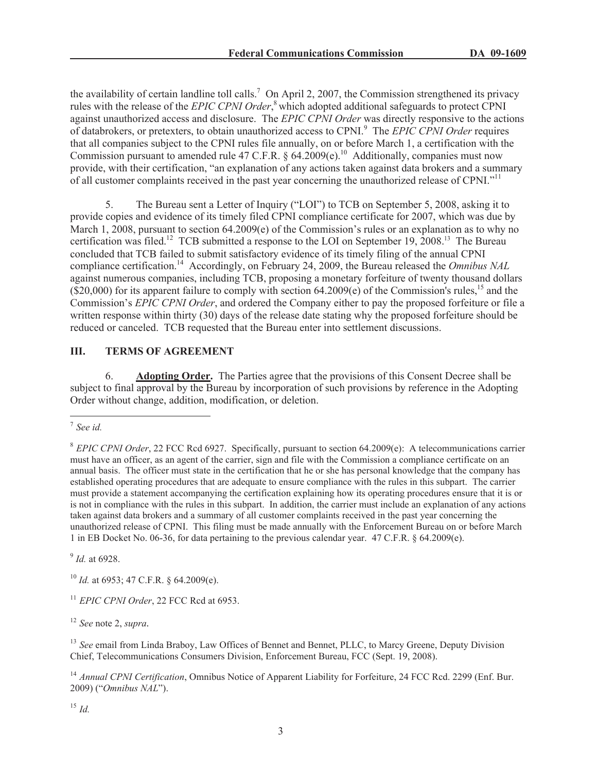the availability of certain landline toll calls.<sup>7</sup> On April 2, 2007, the Commission strengthened its privacy rules with the release of the *EPIC CPNI Order*, <sup>8</sup> which adopted additional safeguards to protect CPNI against unauthorized access and disclosure. The *EPIC CPNI Order* was directly responsive to the actions of databrokers, or pretexters, to obtain unauthorized access to CPNI.<sup>9</sup> The *EPIC CPNI Order* requires that all companies subject to the CPNI rules file annually, on or before March 1, a certification with the Commission pursuant to amended rule 47 C.F.R. § 64.2009(e).<sup>10</sup> Additionally, companies must now provide, with their certification, "an explanation of any actions taken against data brokers and a summary of all customer complaints received in the past year concerning the unauthorized release of CPNI."<sup>11</sup>

5. The Bureau sent a Letter of Inquiry ("LOI") to TCB on September 5, 2008, asking it to provide copies and evidence of its timely filed CPNI compliance certificate for 2007, which was due by March 1, 2008, pursuant to section 64.2009(e) of the Commission's rules or an explanation as to why no certification was filed.<sup>12</sup> TCB submitted a response to the LOI on September 19, 2008.<sup>13</sup> The Bureau concluded that TCB failed to submit satisfactory evidence of its timely filing of the annual CPNI compliance certification.<sup>14</sup> Accordingly, on February 24, 2009, the Bureau released the *Omnibus NAL* against numerous companies, including TCB, proposing a monetary forfeiture of twenty thousand dollars  $(S20,000)$  for its apparent failure to comply with section 64.2009(e) of the Commission's rules,<sup>15</sup> and the Commission's *EPIC CPNI Order*, and ordered the Company either to pay the proposed forfeiture or file a written response within thirty (30) days of the release date stating why the proposed forfeiture should be reduced or canceled. TCB requested that the Bureau enter into settlement discussions.

# **III. TERMS OF AGREEMENT**

6. **Adopting Order.** The Parties agree that the provisions of this Consent Decree shall be subject to final approval by the Bureau by incorporation of such provisions by reference in the Adopting Order without change, addition, modification, or deletion.

9 *Id.* at 6928.

<sup>10</sup> *Id.* at 6953; 47 C.F.R. § 64.2009(e).

<sup>11</sup> *EPIC CPNI Order*, 22 FCC Rcd at 6953.

<sup>12</sup> *See* note 2, *supra.*

<sup>13</sup> *See* email from Linda Braboy, Law Offices of Bennet and Bennet, PLLC, to Marcy Greene, Deputy Division Chief, Telecommunications Consumers Division, Enforcement Bureau, FCC (Sept. 19, 2008).

<sup>14</sup> *Annual CPNI Certification*, Omnibus Notice of Apparent Liability for Forfeiture, 24 FCC Rcd. 2299 (Enf. Bur. 2009) ("*Omnibus NAL*").

<sup>15</sup> *Id.*

<sup>7</sup> *See id.*

<sup>8</sup> *EPIC CPNI Order*, 22 FCC Rcd 6927. Specifically, pursuant to section 64.2009(e): A telecommunications carrier must have an officer, as an agent of the carrier, sign and file with the Commission a compliance certificate on an annual basis. The officer must state in the certification that he or she has personal knowledge that the company has established operating procedures that are adequate to ensure compliance with the rules in this subpart. The carrier must provide a statement accompanying the certification explaining how its operating procedures ensure that it is or is not in compliance with the rules in this subpart. In addition, the carrier must include an explanation of any actions taken against data brokers and a summary of all customer complaints received in the past year concerning the unauthorized release of CPNI. This filing must be made annually with the Enforcement Bureau on or before March 1 in EB Docket No. 06-36, for data pertaining to the previous calendar year. 47 C.F.R. § 64.2009(e).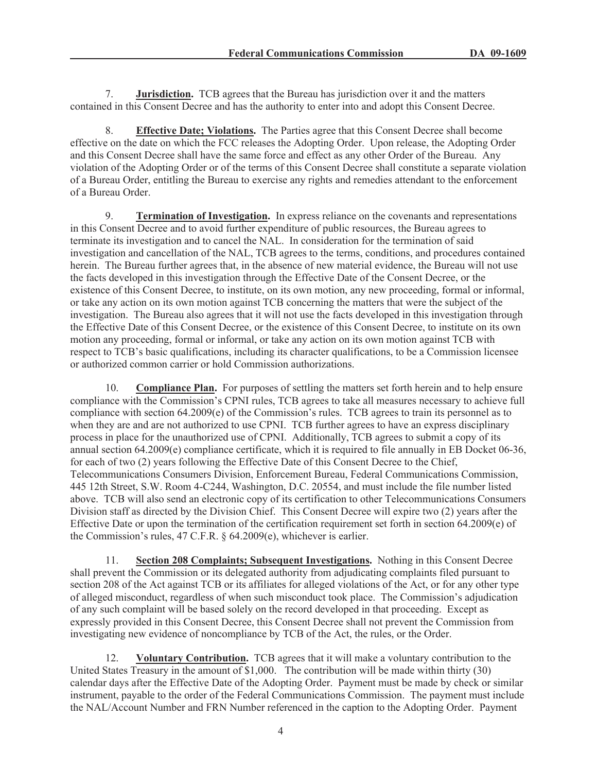7. **Jurisdiction.** TCB agrees that the Bureau has jurisdiction over it and the matters contained in this Consent Decree and has the authority to enter into and adopt this Consent Decree.

8. **Effective Date; Violations.** The Parties agree that this Consent Decree shall become effective on the date on which the FCC releases the Adopting Order. Upon release, the Adopting Order and this Consent Decree shall have the same force and effect as any other Order of the Bureau. Any violation of the Adopting Order or of the terms of this Consent Decree shall constitute a separate violation of a Bureau Order, entitling the Bureau to exercise any rights and remedies attendant to the enforcement of a Bureau Order.

9. **Termination of Investigation.** In express reliance on the covenants and representations in this Consent Decree and to avoid further expenditure of public resources, the Bureau agrees to terminate its investigation and to cancel the NAL. In consideration for the termination of said investigation and cancellation of the NAL, TCB agrees to the terms, conditions, and procedures contained herein. The Bureau further agrees that, in the absence of new material evidence, the Bureau will not use the facts developed in this investigation through the Effective Date of the Consent Decree, or the existence of this Consent Decree, to institute, on its own motion, any new proceeding, formal or informal, or take any action on its own motion against TCB concerning the matters that were the subject of the investigation. The Bureau also agrees that it will not use the facts developed in this investigation through the Effective Date of this Consent Decree, or the existence of this Consent Decree, to institute on its own motion any proceeding, formal or informal, or take any action on its own motion against TCB with respect to TCB's basic qualifications, including its character qualifications, to be a Commission licensee or authorized common carrier or hold Commission authorizations.

10. **Compliance Plan.** For purposes of settling the matters set forth herein and to help ensure compliance with the Commission's CPNI rules, TCB agrees to take all measures necessary to achieve full compliance with section 64.2009(e) of the Commission's rules. TCB agrees to train its personnel as to when they are and are not authorized to use CPNI. TCB further agrees to have an express disciplinary process in place for the unauthorized use of CPNI. Additionally, TCB agrees to submit a copy of its annual section 64.2009(e) compliance certificate, which it is required to file annually in EB Docket 06-36, for each of two (2) years following the Effective Date of this Consent Decree to the Chief, Telecommunications Consumers Division, Enforcement Bureau, Federal Communications Commission, 445 12th Street, S.W. Room 4-C244, Washington, D.C. 20554, and must include the file number listed above. TCB will also send an electronic copy of its certification to other Telecommunications Consumers Division staff as directed by the Division Chief. This Consent Decree will expire two (2) years after the Effective Date or upon the termination of the certification requirement set forth in section 64.2009(e) of the Commission's rules, 47 C.F.R. § 64.2009(e), whichever is earlier.

11. **Section 208 Complaints; Subsequent Investigations.** Nothing in this Consent Decree shall prevent the Commission or its delegated authority from adjudicating complaints filed pursuant to section 208 of the Act against TCB or its affiliates for alleged violations of the Act, or for any other type of alleged misconduct, regardless of when such misconduct took place. The Commission's adjudication of any such complaint will be based solely on the record developed in that proceeding. Except as expressly provided in this Consent Decree, this Consent Decree shall not prevent the Commission from investigating new evidence of noncompliance by TCB of the Act, the rules, or the Order.

12. **Voluntary Contribution.** TCB agrees that it will make a voluntary contribution to the United States Treasury in the amount of \$1,000. The contribution will be made within thirty (30) calendar days after the Effective Date of the Adopting Order. Payment must be made by check or similar instrument, payable to the order of the Federal Communications Commission. The payment must include the NAL/Account Number and FRN Number referenced in the caption to the Adopting Order. Payment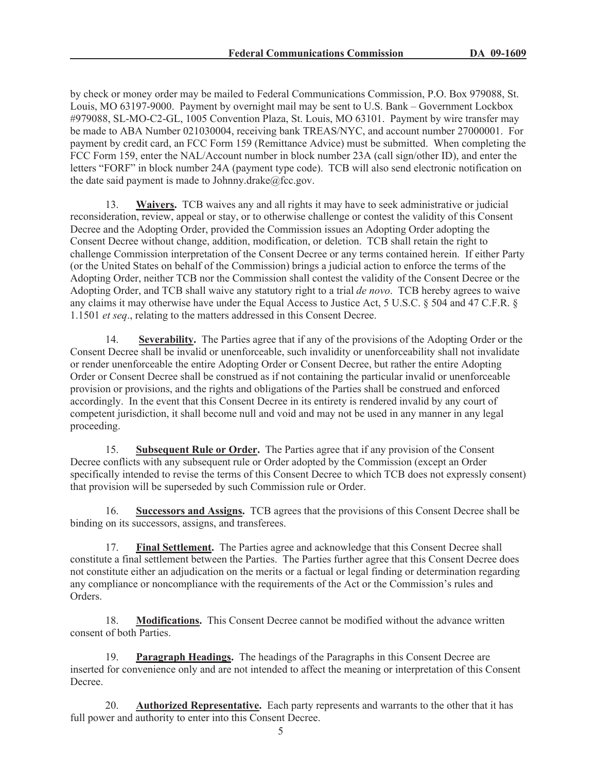by check or money order may be mailed to Federal Communications Commission, P.O. Box 979088, St. Louis, MO 63197-9000. Payment by overnight mail may be sent to U.S. Bank – Government Lockbox #979088, SL-MO-C2-GL, 1005 Convention Plaza, St. Louis, MO 63101. Payment by wire transfer may be made to ABA Number 021030004, receiving bank TREAS/NYC, and account number 27000001. For payment by credit card, an FCC Form 159 (Remittance Advice) must be submitted. When completing the FCC Form 159, enter the NAL/Account number in block number 23A (call sign/other ID), and enter the letters "FORF" in block number 24A (payment type code). TCB will also send electronic notification on the date said payment is made to Johnny.drake $@$ fcc.gov.

13. **Waivers.** TCB waives any and all rights it may have to seek administrative or judicial reconsideration, review, appeal or stay, or to otherwise challenge or contest the validity of this Consent Decree and the Adopting Order, provided the Commission issues an Adopting Order adopting the Consent Decree without change, addition, modification, or deletion. TCB shall retain the right to challenge Commission interpretation of the Consent Decree or any terms contained herein. If either Party (or the United States on behalf of the Commission) brings a judicial action to enforce the terms of the Adopting Order, neither TCB nor the Commission shall contest the validity of the Consent Decree or the Adopting Order, and TCB shall waive any statutory right to a trial *de novo*. TCB hereby agrees to waive any claims it may otherwise have under the Equal Access to Justice Act, 5 U.S.C. § 504 and 47 C.F.R. § 1.1501 *et seq*., relating to the matters addressed in this Consent Decree.

14. **Severability.** The Parties agree that if any of the provisions of the Adopting Order or the Consent Decree shall be invalid or unenforceable, such invalidity or unenforceability shall not invalidate or render unenforceable the entire Adopting Order or Consent Decree, but rather the entire Adopting Order or Consent Decree shall be construed as if not containing the particular invalid or unenforceable provision or provisions, and the rights and obligations of the Parties shall be construed and enforced accordingly. In the event that this Consent Decree in its entirety is rendered invalid by any court of competent jurisdiction, it shall become null and void and may not be used in any manner in any legal proceeding.

15. **Subsequent Rule or Order.** The Parties agree that if any provision of the Consent Decree conflicts with any subsequent rule or Order adopted by the Commission (except an Order specifically intended to revise the terms of this Consent Decree to which TCB does not expressly consent) that provision will be superseded by such Commission rule or Order.

16. **Successors and Assigns.** TCB agrees that the provisions of this Consent Decree shall be binding on its successors, assigns, and transferees.

17. **Final Settlement.** The Parties agree and acknowledge that this Consent Decree shall constitute a final settlement between the Parties. The Parties further agree that this Consent Decree does not constitute either an adjudication on the merits or a factual or legal finding or determination regarding any compliance or noncompliance with the requirements of the Act or the Commission's rules and Orders.

18. **Modifications.** This Consent Decree cannot be modified without the advance written consent of both Parties.

19. **Paragraph Headings.** The headings of the Paragraphs in this Consent Decree are inserted for convenience only and are not intended to affect the meaning or interpretation of this Consent Decree.

20. **Authorized Representative.** Each party represents and warrants to the other that it has full power and authority to enter into this Consent Decree.